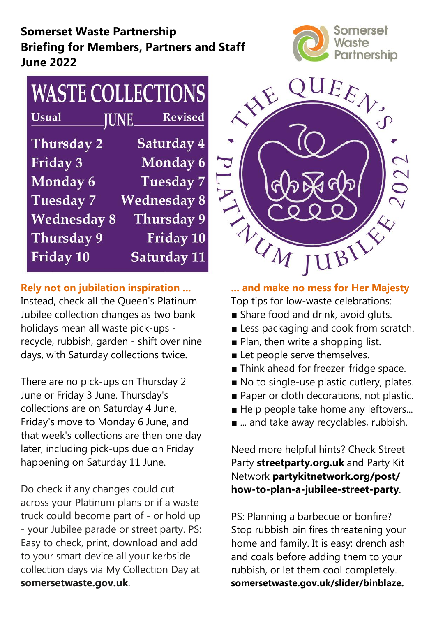# Somerset Waste Partnership Briefing for Members, Partners and Staff June 2022



#### **WASTE COLLECTIONS Usual JUNE Revised** Saturday 4 **Thursday 2** Friday 3 Monday 6 Monday 6 **Tuesday 7 Wednesday 8 Tuesday 7** Thursday 9 **Wednesday 8 Thursday 9** Friday 10 Friday 10 **Saturday 11**

# Rely not on jubilation inspiration ...

Instead, check all the Queen's Platinum Jubilee collection changes as two bank holidays mean all waste pick-ups recycle, rubbish, garden - shift over nine days, with Saturday collections twice.

There are no pick-ups on Thursday 2 June or Friday 3 June. Thursday's collections are on Saturday 4 June, Friday's move to Monday 6 June, and that week's collections are then one day later, including pick-ups due on Friday happening on Saturday 11 June.

Do check if any changes could cut across your Platinum plans or if a waste truck could become part of - or hold up - your Jubilee parade or street party. PS: Easy to check, print, download and add to your smart device all your kerbside collection days via My Collection Day at somersetwaste.gov.uk.



... and make no mess for Her Majesty Top tips for low-waste celebrations:

- Share food and drink, avoid gluts.
- Less packaging and cook from scratch.
- Plan, then write a shopping list.
- Let people serve themselves.
- Think ahead for freezer-fridge space.
- No to single-use plastic cutlery, plates.
- Paper or cloth decorations, not plastic.
- Help people take home any leftovers...
- ... and take away recyclables, rubbish.

Need more helpful hints? Check Street Party streetparty.org.uk and Party Kit Network partykitnetwork.org/post/ how-to-plan-a-jubilee-street-party.

PS: Planning a barbecue or bonfire? Stop rubbish bin fires threatening your home and family. It is easy: drench ash and coals before adding them to your rubbish, or let them cool completely. somersetwaste.gov.uk/slider/binblaze.